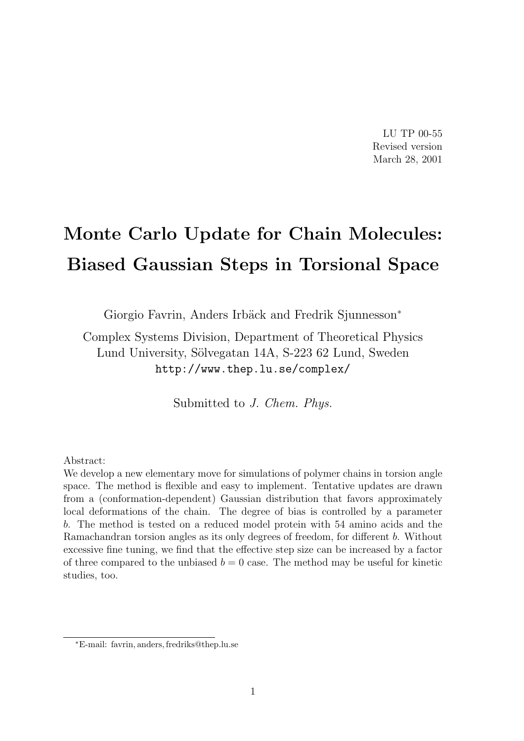LU TP 00-55 Revised version March 28, 2001

# Monte Carlo Update for Chain Molecules: Biased Gaussian Steps in Torsional Space

Giorgio Favrin, Anders Irbäck and Fredrik Sjunnesson<sup>\*</sup>

Complex Systems Division, Department of Theoretical Physics Lund University, Sölvegatan 14A, S-223 62 Lund, Sweden http://www.thep.lu.se/complex/

Submitted to J. Chem. Phys.

Abstract:

We develop a new elementary move for simulations of polymer chains in torsion angle space. The method is flexible and easy to implement. Tentative updates are drawn from a (conformation-dependent) Gaussian distribution that favors approximately local deformations of the chain. The degree of bias is controlled by a parameter b. The method is tested on a reduced model protein with 54 amino acids and the Ramachandran torsion angles as its only degrees of freedom, for different b. Without excessive fine tuning, we find that the effective step size can be increased by a factor of three compared to the unbiased  $b = 0$  case. The method may be useful for kinetic studies, too.

<sup>∗</sup>E-mail: favrin, anders, fredriks@thep.lu.se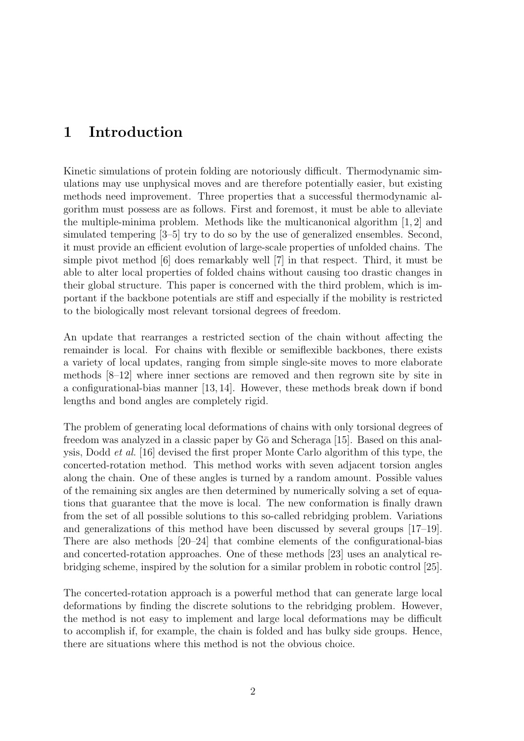# 1 Introduction

Kinetic simulations of protein folding are notoriously difficult. Thermodynamic simulations may use unphysical moves and are therefore potentially easier, but existing methods need improvement. Three properties that a successful thermodynamic algorithm must possess are as follows. First and foremost, it must be able to alleviate the multiple-minima problem. Methods like the multicanonical algorithm [1, 2] and simulated tempering [3–5] try to do so by the use of generalized ensembles. Second, it must provide an efficient evolution of large-scale properties of unfolded chains. The simple pivot method [6] does remarkably well [7] in that respect. Third, it must be able to alter local properties of folded chains without causing too drastic changes in their global structure. This paper is concerned with the third problem, which is important if the backbone potentials are stiff and especially if the mobility is restricted to the biologically most relevant torsional degrees of freedom.

An update that rearranges a restricted section of the chain without affecting the remainder is local. For chains with flexible or semiflexible backbones, there exists a variety of local updates, ranging from simple single-site moves to more elaborate methods [8–12] where inner sections are removed and then regrown site by site in a configurational-bias manner [13, 14]. However, these methods break down if bond lengths and bond angles are completely rigid.

The problem of generating local deformations of chains with only torsional degrees of freedom was analyzed in a classic paper by  $G\bar{o}$  and Scheraga [15]. Based on this analysis, Dodd et al. [16] devised the first proper Monte Carlo algorithm of this type, the concerted-rotation method. This method works with seven adjacent torsion angles along the chain. One of these angles is turned by a random amount. Possible values of the remaining six angles are then determined by numerically solving a set of equations that guarantee that the move is local. The new conformation is finally drawn from the set of all possible solutions to this so-called rebridging problem. Variations and generalizations of this method have been discussed by several groups [17–19]. There are also methods [20–24] that combine elements of the configurational-bias and concerted-rotation approaches. One of these methods [23] uses an analytical rebridging scheme, inspired by the solution for a similar problem in robotic control [25].

The concerted-rotation approach is a powerful method that can generate large local deformations by finding the discrete solutions to the rebridging problem. However, the method is not easy to implement and large local deformations may be difficult to accomplish if, for example, the chain is folded and has bulky side groups. Hence, there are situations where this method is not the obvious choice.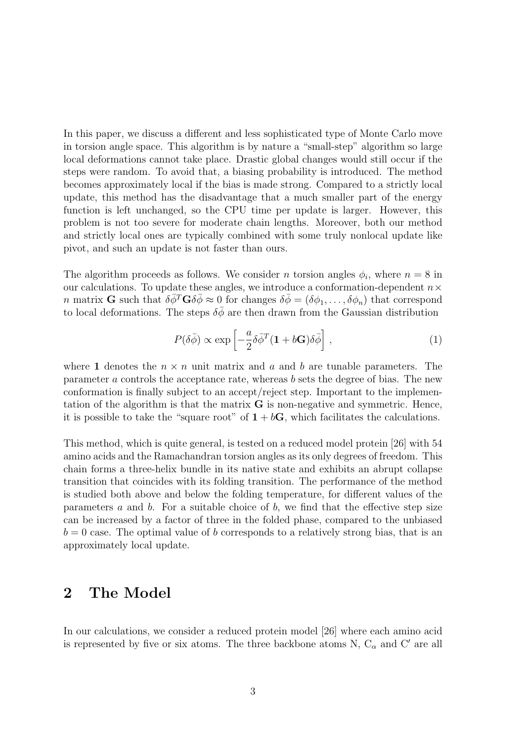In this paper, we discuss a different and less sophisticated type of Monte Carlo move in torsion angle space. This algorithm is by nature a "small-step" algorithm so large local deformations cannot take place. Drastic global changes would still occur if the steps were random. To avoid that, a biasing probability is introduced. The method becomes approximately local if the bias is made strong. Compared to a strictly local update, this method has the disadvantage that a much smaller part of the energy function is left unchanged, so the CPU time per update is larger. However, this problem is not too severe for moderate chain lengths. Moreover, both our method and strictly local ones are typically combined with some truly nonlocal update like pivot, and such an update is not faster than ours.

The algorithm proceeds as follows. We consider *n* torsion angles  $\phi_i$ , where  $n = 8$  in our calculations. To update these angles, we introduce a conformation-dependent  $n \times$ n matrix **G** such that  $\delta \bar{\phi}^T \mathbf{G} \delta \bar{\phi} \approx 0$  for changes  $\delta \bar{\phi} = (\delta \phi_1, \dots, \delta \phi_n)$  that correspond to local deformations. The steps  $\delta\bar{\phi}$  are then drawn from the Gaussian distribution

$$
P(\delta\bar{\phi}) \propto \exp\left[-\frac{a}{2}\delta\bar{\phi}^T(\mathbf{1} + b\mathbf{G})\delta\bar{\phi}\right],\tag{1}
$$

where 1 denotes the  $n \times n$  unit matrix and a and b are tunable parameters. The parameter a controls the acceptance rate, whereas b sets the degree of bias. The new conformation is finally subject to an accept/reject step. Important to the implementation of the algorithm is that the matrix G is non-negative and symmetric. Hence, it is possible to take the "square root" of  $1 + bG$ , which facilitates the calculations.

This method, which is quite general, is tested on a reduced model protein [26] with 54 amino acids and the Ramachandran torsion angles as its only degrees of freedom. This chain forms a three-helix bundle in its native state and exhibits an abrupt collapse transition that coincides with its folding transition. The performance of the method is studied both above and below the folding temperature, for different values of the parameters  $a$  and  $b$ . For a suitable choice of  $b$ , we find that the effective step size can be increased by a factor of three in the folded phase, compared to the unbiased  $b = 0$  case. The optimal value of b corresponds to a relatively strong bias, that is an approximately local update.

## 2 The Model

In our calculations, we consider a reduced protein model [26] where each amino acid is represented by five or six atoms. The three backbone atoms N,  $\mathbf{C}_\alpha$  and  $\mathbf{C}'$  are all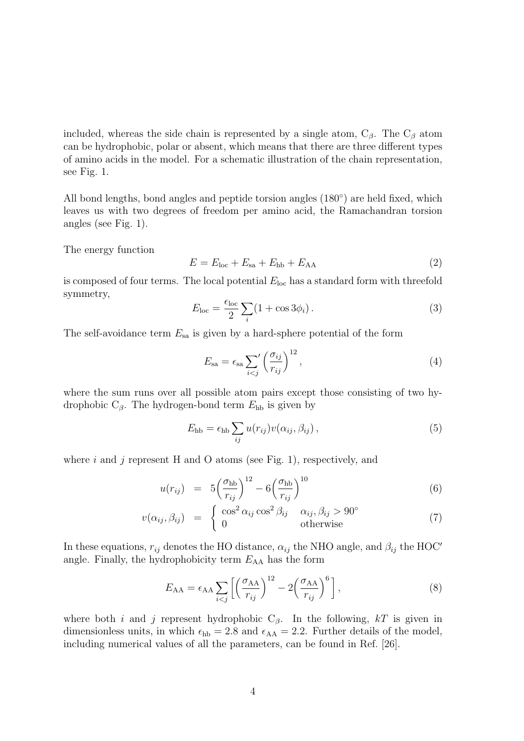included, whereas the side chain is represented by a single atom,  $C_\beta$ . The  $C_\beta$  atom can be hydrophobic, polar or absent, which means that there are three different types of amino acids in the model. For a schematic illustration of the chain representation, see Fig. 1.

All bond lengths, bond angles and peptide torsion angles (180◦ ) are held fixed, which leaves us with two degrees of freedom per amino acid, the Ramachandran torsion angles (see Fig. 1).

The energy function

$$
E = Eloc + Esa + Ehb + EAA
$$
 (2)

is composed of four terms. The local potential  $E_{\text{loc}}$  has a standard form with threefold symmetry,

$$
E_{\text{loc}} = \frac{\epsilon_{\text{loc}}}{2} \sum_{i} (1 + \cos 3\phi_i). \tag{3}
$$

The self-avoidance term  $E_{sa}$  is given by a hard-sphere potential of the form

$$
E_{\rm sa} = \epsilon_{\rm sa} \sum_{i < j} \left(\frac{\sigma_{ij}}{r_{ij}}\right)^{12},\tag{4}
$$

where the sum runs over all possible atom pairs except those consisting of two hydrophobic  $C_{\beta}$ . The hydrogen-bond term  $E_{\rm hb}$  is given by

$$
E_{\rm hb} = \epsilon_{\rm hb} \sum_{ij} u(r_{ij}) v(\alpha_{ij}, \beta_{ij}), \qquad (5)
$$

where i and j represent H and O atoms (see Fig. 1), respectively, and

$$
u(r_{ij}) = 5\left(\frac{\sigma_{\text{hb}}}{r_{ij}}\right)^{12} - 6\left(\frac{\sigma_{\text{hb}}}{r_{ij}}\right)^{10} \tag{6}
$$

$$
v(\alpha_{ij}, \beta_{ij}) = \begin{cases} \cos^2 \alpha_{ij} \cos^2 \beta_{ij} & \alpha_{ij}, \beta_{ij} > 90^\circ \\ 0 & \text{otherwise} \end{cases}
$$
 (7)

In these equations,  $r_{ij}$  denotes the HO distance,  $\alpha_{ij}$  the NHO angle, and  $\beta_{ij}$  the HOC' angle. Finally, the hydrophobicity term  $E_{AA}$  has the form

$$
E_{AA} = \epsilon_{AA} \sum_{i < j} \left[ \left( \frac{\sigma_{AA}}{r_{ij}} \right)^{12} - 2 \left( \frac{\sigma_{AA}}{r_{ij}} \right)^{6} \right],\tag{8}
$$

where both i and j represent hydrophobic  $C_\beta$ . In the following, kT is given in dimensionless units, in which  $\epsilon_{hb} = 2.8$  and  $\epsilon_{AA} = 2.2$ . Further details of the model, including numerical values of all the parameters, can be found in Ref. [26].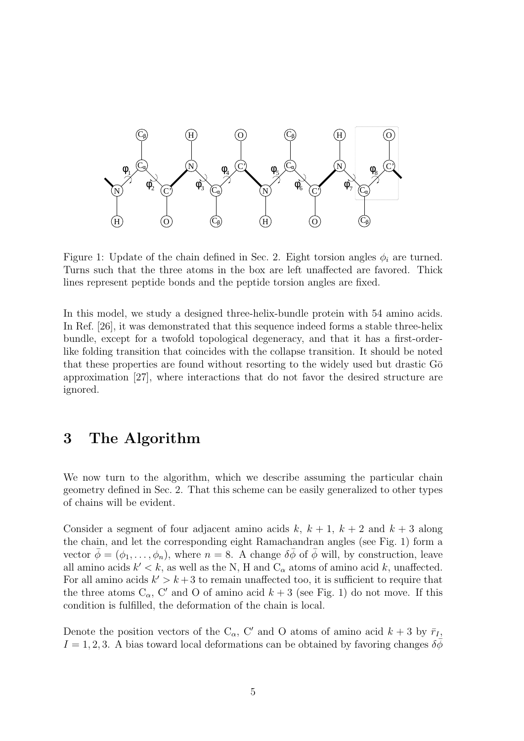

Figure 1: Update of the chain defined in Sec. 2. Eight torsion angles  $\phi_i$  are turned. Turns such that the three atoms in the box are left unaffected are favored. Thick lines represent peptide bonds and the peptide torsion angles are fixed.

In this model, we study a designed three-helix-bundle protein with 54 amino acids. In Ref. [26], it was demonstrated that this sequence indeed forms a stable three-helix bundle, except for a twofold topological degeneracy, and that it has a first-orderlike folding transition that coincides with the collapse transition. It should be noted that these properties are found without resorting to the widely used but drastic  $G\bar{\sigma}$ approximation [27], where interactions that do not favor the desired structure are ignored.

# 3 The Algorithm

We now turn to the algorithm, which we describe assuming the particular chain geometry defined in Sec. 2. That this scheme can be easily generalized to other types of chains will be evident.

Consider a segment of four adjacent amino acids k,  $k + 1$ ,  $k + 2$  and  $k + 3$  along the chain, and let the corresponding eight Ramachandran angles (see Fig. 1) form a vector  $\bar{\phi} = (\phi_1, \ldots, \phi_n)$ , where  $n = 8$ . A change  $\delta \bar{\phi}$  of  $\bar{\phi}$  will, by construction, leave all amino acids  $k' < k$ , as well as the N, H and  $C_{\alpha}$  atoms of amino acid k, unaffected. For all amino acids  $k' > k + 3$  to remain unaffected too, it is sufficient to require that the three atoms  $C_{\alpha}$ , C' and O of amino acid  $k + 3$  (see Fig. 1) do not move. If this condition is fulfilled, the deformation of the chain is local.

Denote the position vectors of the C<sub>α</sub>, C' and O atoms of amino acid  $k + 3$  by  $\bar{r}_I$ ,  $I = 1, 2, 3$ . A bias toward local deformations can be obtained by favoring changes  $\delta \phi$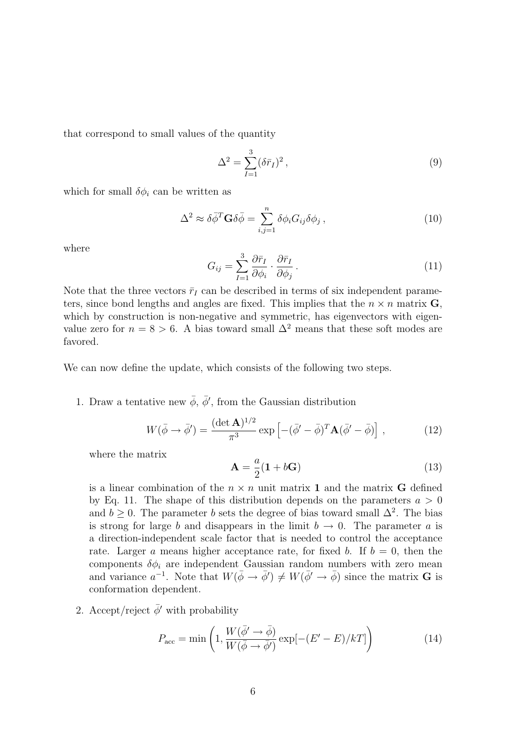that correspond to small values of the quantity

$$
\Delta^2 = \sum_{I=1}^3 (\delta \bar{r}_I)^2 \,, \tag{9}
$$

which for small  $\delta \phi_i$  can be written as

$$
\Delta^2 \approx \delta \bar{\phi}^T \mathbf{G} \delta \bar{\phi} = \sum_{i,j=1}^n \delta \phi_i G_{ij} \delta \phi_j , \qquad (10)
$$

where

$$
G_{ij} = \sum_{I=1}^{3} \frac{\partial \bar{r}_I}{\partial \phi_i} \cdot \frac{\partial \bar{r}_I}{\partial \phi_j} \,. \tag{11}
$$

Note that the three vectors  $\bar{r}_I$  can be described in terms of six independent parameters, since bond lengths and angles are fixed. This implies that the  $n \times n$  matrix G, which by construction is non-negative and symmetric, has eigenvectors with eigenvalue zero for  $n = 8 > 6$ . A bias toward small  $\Delta^2$  means that these soft modes are favored.

We can now define the update, which consists of the following two steps.

1. Draw a tentative new  $\bar{\phi}$ ,  $\bar{\phi}'$ , from the Gaussian distribution

$$
W(\bar{\phi} \to \bar{\phi}') = \frac{(\det \mathbf{A})^{1/2}}{\pi^3} \exp\left[ -(\bar{\phi}' - \bar{\phi})^T \mathbf{A} (\bar{\phi}' - \bar{\phi}) \right],\tag{12}
$$

where the matrix

$$
\mathbf{A} = \frac{a}{2}(\mathbf{1} + b\mathbf{G})\tag{13}
$$

is a linear combination of the  $n \times n$  unit matrix **1** and the matrix **G** defined by Eq. 11. The shape of this distribution depends on the parameters  $a > 0$ and  $b \geq 0$ . The parameter b sets the degree of bias toward small  $\Delta^2$ . The bias is strong for large b and disappears in the limit  $b \to 0$ . The parameter a is a direction-independent scale factor that is needed to control the acceptance rate. Larger a means higher acceptance rate, for fixed b. If  $b = 0$ , then the components  $\delta \phi_i$  are independent Gaussian random numbers with zero mean and variance  $a^{-1}$ . Note that  $W(\bar{\phi} \to \bar{\phi}') \neq W(\bar{\phi}' \to \bar{\phi})$  since the matrix **G** is conformation dependent.

2. Accept/reject  $\bar{\phi}$ ' with probability

$$
P_{\text{acc}} = \min\left(1, \frac{W(\bar{\phi}' \to \bar{\phi})}{W(\bar{\phi} \to \bar{\phi}')} \exp[-(E' - E)/k] \right) \tag{14}
$$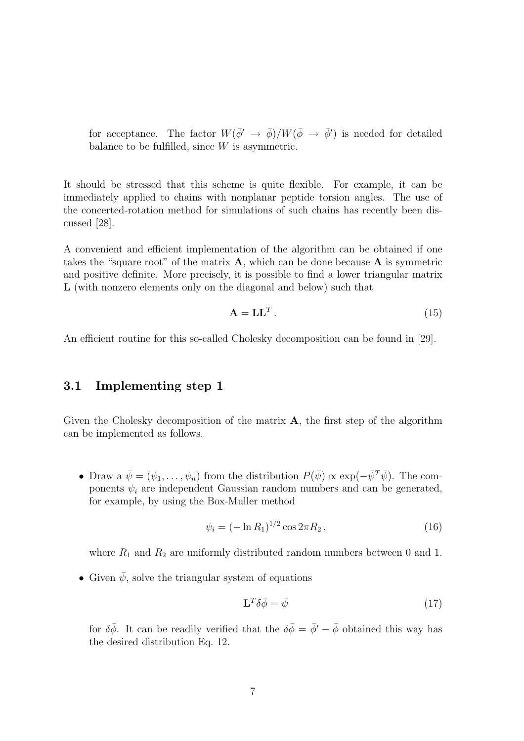for acceptance. The factor  $W(\bar{\phi}' \to \bar{\phi})/W(\bar{\phi} \to \bar{\phi}')$  is needed for detailed balance to be fulfilled, since  $W$  is asymmetric.

It should be stressed that this scheme is quite flexible. For example, it can be immediately applied to chains with nonplanar peptide torsion angles. The use of the concerted-rotation method for simulations of such chains has recently been discussed [28].

A convenient and efficient implementation of the algorithm can be obtained if one takes the "square root" of the matrix  $\bf{A}$ , which can be done because  $\bf{A}$  is symmetric and positive definite. More precisely, it is possible to find a lower triangular matrix L (with nonzero elements only on the diagonal and below) such that

$$
\mathbf{A} = \mathbf{L}\mathbf{L}^T. \tag{15}
$$

An efficient routine for this so-called Cholesky decomposition can be found in [29].

#### 3.1 Implementing step 1

Given the Cholesky decomposition of the matrix **A**, the first step of the algorithm can be implemented as follows.

• Draw a  $\bar{\psi} = (\psi_1, \ldots, \psi_n)$  from the distribution  $P(\bar{\psi}) \propto \exp(-\bar{\psi}^T \bar{\psi})$ . The components  $\psi_i$  are independent Gaussian random numbers and can be generated, for example, by using the Box-Muller method

$$
\psi_i = (-\ln R_1)^{1/2} \cos 2\pi R_2, \qquad (16)
$$

where  $R_1$  and  $R_2$  are uniformly distributed random numbers between 0 and 1.

• Given  $\bar{\psi}$ , solve the triangular system of equations

$$
\mathbf{L}^T \delta \bar{\phi} = \bar{\psi} \tag{17}
$$

for  $\delta\bar{\phi}$ . It can be readily verified that the  $\delta\bar{\phi} = \bar{\phi}' - \bar{\phi}$  obtained this way has the desired distribution Eq. 12.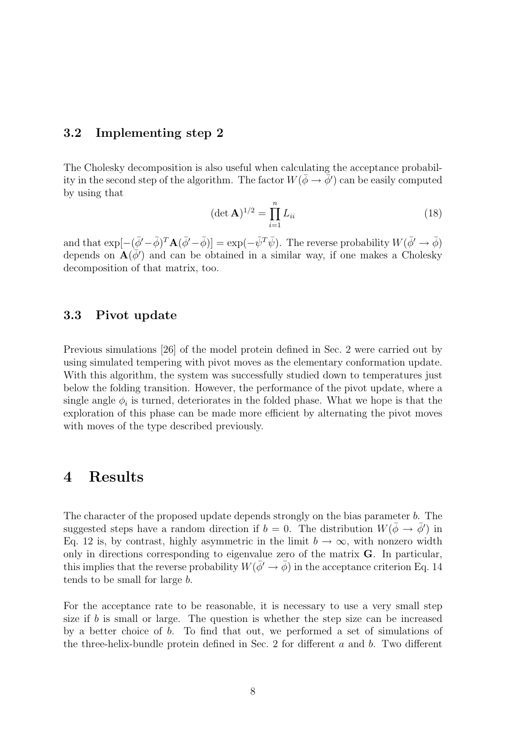#### 3.2 Implementing step 2

The Cholesky decomposition is also useful when calculating the acceptance probability in the second step of the algorithm. The factor  $W(\bar{\phi} \to \bar{\phi}')$  can be easily computed by using that

$$
(\det \mathbf{A})^{1/2} = \prod_{i=1}^{n} L_{ii}
$$
 (18)

and that  $\exp[-(\bar{\phi}'-\bar{\phi})^T\mathbf{A}(\bar{\phi}'-\bar{\phi})] = \exp(-\bar{\psi}^T\bar{\psi})$ . The reverse probability  $W(\bar{\phi}' \to \bar{\phi})$ depends on  $\mathbf{A}(\bar{\phi}')$  and can be obtained in a similar way, if one makes a Cholesky decomposition of that matrix, too.

#### 3.3 Pivot update

Previous simulations [26] of the model protein defined in Sec. 2 were carried out by using simulated tempering with pivot moves as the elementary conformation update. With this algorithm, the system was successfully studied down to temperatures just below the folding transition. However, the performance of the pivot update, where a single angle  $\phi_i$  is turned, deteriorates in the folded phase. What we hope is that the exploration of this phase can be made more efficient by alternating the pivot moves with moves of the type described previously.

### 4 Results

The character of the proposed update depends strongly on the bias parameter b. The suggested steps have a random direction if  $b = 0$ . The distribution  $W(\bar{\phi} \to \bar{\phi}')$  in Eq. 12 is, by contrast, highly asymmetric in the limit  $b \to \infty$ , with nonzero width only in directions corresponding to eigenvalue zero of the matrix G. In particular, this implies that the reverse probability  $W(\bar{\phi}' \to \bar{\phi})$  in the acceptance criterion Eq. 14 tends to be small for large b.

For the acceptance rate to be reasonable, it is necessary to use a very small step size if b is small or large. The question is whether the step size can be increased by a better choice of b. To find that out, we performed a set of simulations of the three-helix-bundle protein defined in Sec. 2 for different  $a$  and  $b$ . Two different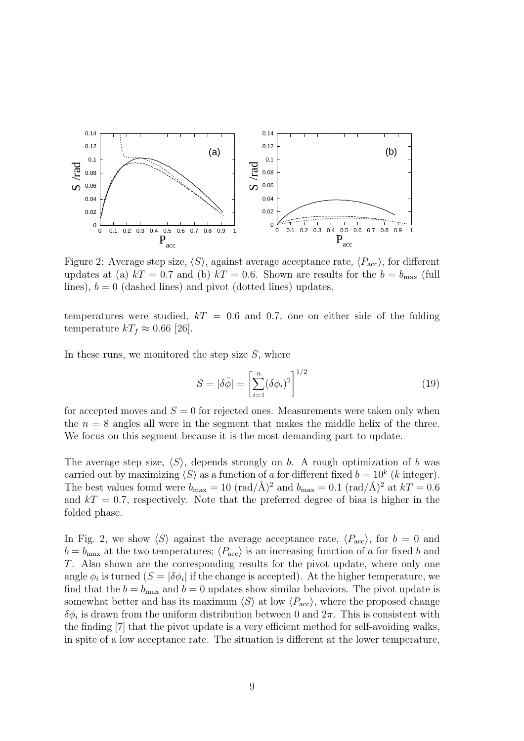

Figure 2: Average step size,  $\langle S \rangle$ , against average acceptance rate,  $\langle P_{\text{acc}} \rangle$ , for different updates at (a)  $kT = 0.7$  and (b)  $kT = 0.6$ . Shown are results for the  $b = b_{\text{max}}$  (full lines),  $b = 0$  (dashed lines) and pivot (dotted lines) updates.

temperatures were studied,  $kT = 0.6$  and 0.7, one on either side of the folding temperature  $kT_f \approx 0.66$  [26].

In these runs, we monitored the step size  $S$ , where

$$
S = |\delta \bar{\phi}| = \left[ \sum_{i=1}^{n} (\delta \phi_i)^2 \right]^{1/2} \tag{19}
$$

for accepted moves and  $S = 0$  for rejected ones. Measurements were taken only when the  $n = 8$  angles all were in the segment that makes the middle helix of the three. We focus on this segment because it is the most demanding part to update.

The average step size,  $\langle S \rangle$ , depends strongly on b. A rough optimization of b was carried out by maximizing  $\langle S \rangle$  as a function of a for different fixed  $b = 10^k$  (k integer). The best values found were  $b_{\text{max}} = 10 \text{ (rad/A)}^2$  and  $b_{\text{max}} = 0.1 \text{ (rad/A)}^2$  at  $kT = 0.6$ and  $kT = 0.7$ , respectively. Note that the preferred degree of bias is higher in the folded phase.

In Fig. 2, we show  $\langle S \rangle$  against the average acceptance rate,  $\langle P_{\text{acc}} \rangle$ , for  $b = 0$  and  $b = b_{\text{max}}$  at the two temperatures;  $\langle P_{\text{acc}} \rangle$  is an increasing function of a for fixed b and T. Also shown are the corresponding results for the pivot update, where only one angle  $\phi_i$  is turned  $(S = |\delta \phi_i|)$  if the change is accepted). At the higher temperature, we find that the  $b = b_{\text{max}}$  and  $b = 0$  updates show similar behaviors. The pivot update is somewhat better and has its maximum  $\langle S \rangle$  at low  $\langle P_{\text{acc}} \rangle$ , where the proposed change  $\delta\phi_i$  is drawn from the uniform distribution between 0 and  $2\pi$ . This is consistent with the finding [7] that the pivot update is a very efficient method for self-avoiding walks, in spite of a low acceptance rate. The situation is different at the lower temperature,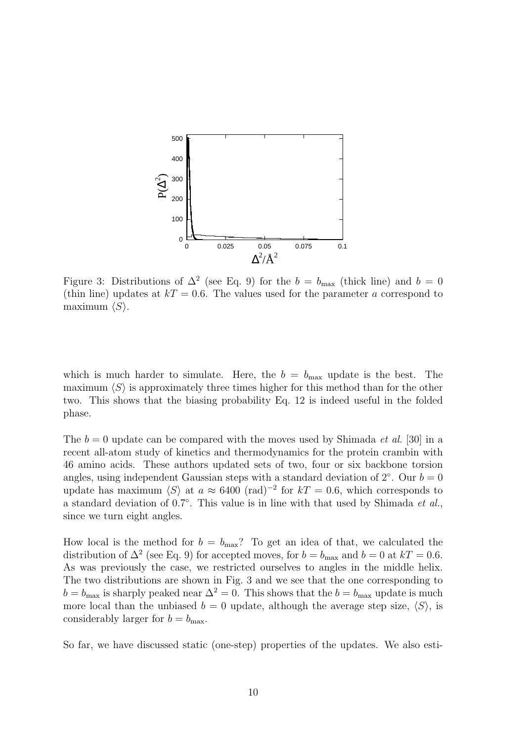

Figure 3: Distributions of  $\Delta^2$  (see Eq. 9) for the  $b = b_{\text{max}}$  (thick line) and  $b = 0$ (thin line) updates at  $kT = 0.6$ . The values used for the parameter a correspond to maximum  $\langle S \rangle$ .

which is much harder to simulate. Here, the  $b = b_{\text{max}}$  update is the best. The maximum  $\langle S \rangle$  is approximately three times higher for this method than for the other two. This shows that the biasing probability Eq. 12 is indeed useful in the folded phase.

The  $b = 0$  update can be compared with the moves used by Shimada *et al.* [30] in a recent all-atom study of kinetics and thermodynamics for the protein crambin with 46 amino acids. These authors updated sets of two, four or six backbone torsion angles, using independent Gaussian steps with a standard deviation of  $2°$ . Our  $b = 0$ update has maximum  $\langle S \rangle$  at  $a \approx 6400 \text{ (rad)}^{-2}$  for  $kT = 0.6$ , which corresponds to a standard deviation of 0.7°. This value is in line with that used by Shimada et al., since we turn eight angles.

How local is the method for  $b = b_{\text{max}}$ ? To get an idea of that, we calculated the distribution of  $\Delta^2$  (see Eq. 9) for accepted moves, for  $b = b_{\text{max}}$  and  $b = 0$  at  $kT = 0.6$ . As was previously the case, we restricted ourselves to angles in the middle helix. The two distributions are shown in Fig. 3 and we see that the one corresponding to  $b = b_{\text{max}}$  is sharply peaked near  $\Delta^2 = 0$ . This shows that the  $b = b_{\text{max}}$  update is much more local than the unbiased  $b = 0$  update, although the average step size,  $\langle S \rangle$ , is considerably larger for  $b = b_{\text{max}}$ .

So far, we have discussed static (one-step) properties of the updates. We also esti-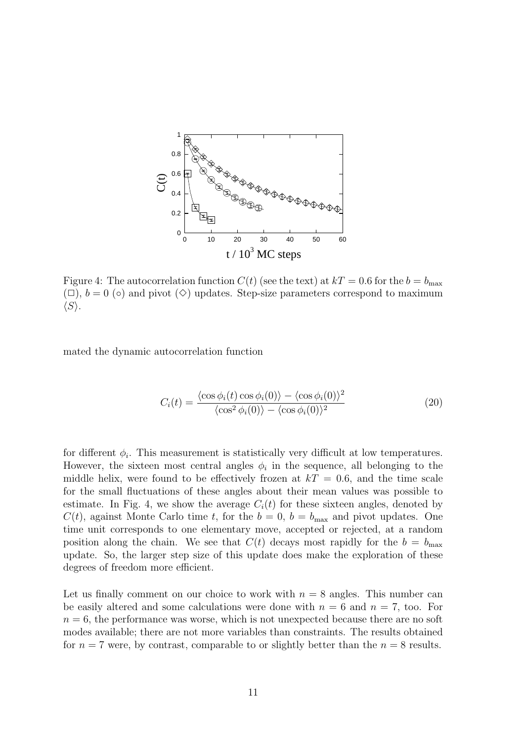

Figure 4: The autocorrelation function  $C(t)$  (see the text) at  $kT = 0.6$  for the  $b = b_{\text{max}}$  $(\Box)$ ,  $b = 0$  ( $\circ$ ) and pivot ( $\diamond$ ) updates. Step-size parameters correspond to maximum  $\langle S \rangle$ .

mated the dynamic autocorrelation function

$$
C_i(t) = \frac{\langle \cos \phi_i(t) \cos \phi_i(0) \rangle - \langle \cos \phi_i(0) \rangle^2}{\langle \cos^2 \phi_i(0) \rangle - \langle \cos \phi_i(0) \rangle^2}
$$
(20)

for different  $\phi_i$ . This measurement is statistically very difficult at low temperatures. However, the sixteen most central angles  $\phi_i$  in the sequence, all belonging to the middle helix, were found to be effectively frozen at  $kT = 0.6$ , and the time scale for the small fluctuations of these angles about their mean values was possible to estimate. In Fig. 4, we show the average  $C_i(t)$  for these sixteen angles, denoted by  $C(t)$ , against Monte Carlo time t, for the  $b = 0$ ,  $b = b_{\text{max}}$  and pivot updates. One time unit corresponds to one elementary move, accepted or rejected, at a random position along the chain. We see that  $C(t)$  decays most rapidly for the  $b = b_{\text{max}}$ update. So, the larger step size of this update does make the exploration of these degrees of freedom more efficient.

Let us finally comment on our choice to work with  $n = 8$  angles. This number can be easily altered and some calculations were done with  $n = 6$  and  $n = 7$ , too. For  $n = 6$ , the performance was worse, which is not unexpected because there are no soft modes available; there are not more variables than constraints. The results obtained for  $n = 7$  were, by contrast, comparable to or slightly better than the  $n = 8$  results.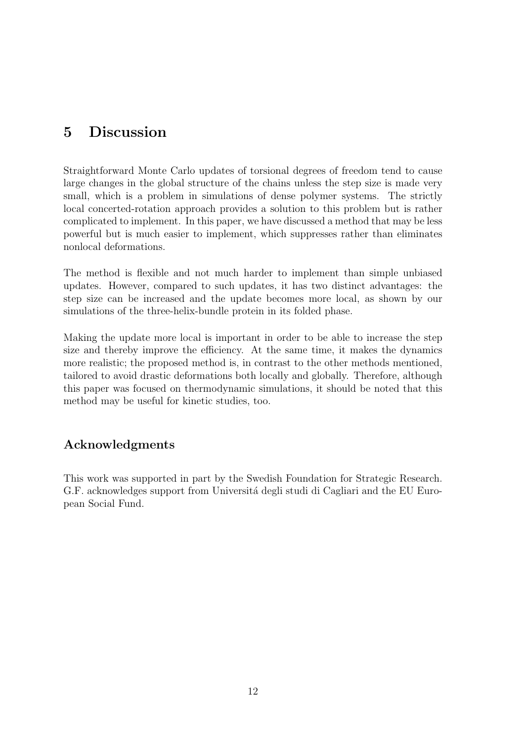# 5 Discussion

Straightforward Monte Carlo updates of torsional degrees of freedom tend to cause large changes in the global structure of the chains unless the step size is made very small, which is a problem in simulations of dense polymer systems. The strictly local concerted-rotation approach provides a solution to this problem but is rather complicated to implement. In this paper, we have discussed a method that may be less powerful but is much easier to implement, which suppresses rather than eliminates nonlocal deformations.

The method is flexible and not much harder to implement than simple unbiased updates. However, compared to such updates, it has two distinct advantages: the step size can be increased and the update becomes more local, as shown by our simulations of the three-helix-bundle protein in its folded phase.

Making the update more local is important in order to be able to increase the step size and thereby improve the efficiency. At the same time, it makes the dynamics more realistic; the proposed method is, in contrast to the other methods mentioned, tailored to avoid drastic deformations both locally and globally. Therefore, although this paper was focused on thermodynamic simulations, it should be noted that this method may be useful for kinetic studies, too.

# Acknowledgments

This work was supported in part by the Swedish Foundation for Strategic Research. G.F. acknowledges support from Università degli studi di Cagliari and the EU European Social Fund.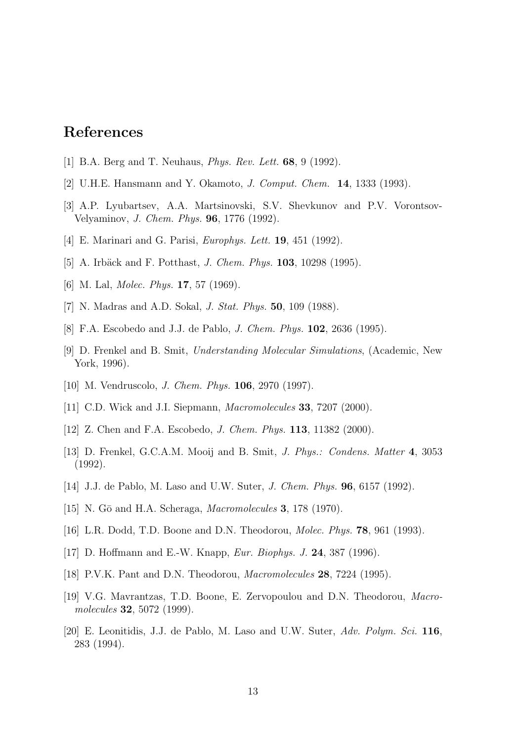# References

- [1] B.A. Berg and T. Neuhaus, Phys. Rev. Lett. 68, 9 (1992).
- [2] U.H.E. Hansmann and Y. Okamoto, J. Comput. Chem. 14, 1333 (1993).
- [3] A.P. Lyubartsev, A.A. Martsinovski, S.V. Shevkunov and P.V. Vorontsov-Velyaminov, J. Chem. Phys. 96, 1776 (1992).
- [4] E. Marinari and G. Parisi, *Europhys. Lett.* **19**, 451 (1992).
- [5] A. Irbäck and F. Potthast, *J. Chem. Phys.* **103**, 10298 (1995).
- [6] M. Lal, *Molec. Phys.* **17**, 57 (1969).
- [7] N. Madras and A.D. Sokal, *J. Stat. Phys.* **50**, 109 (1988).
- [8] F.A. Escobedo and J.J. de Pablo, J. Chem. Phys. 102, 2636 (1995).
- [9] D. Frenkel and B. Smit, Understanding Molecular Simulations, (Academic, New York, 1996).
- [10] M. Vendruscolo, J. Chem. Phys. 106, 2970 (1997).
- [11] C.D. Wick and J.I. Siepmann, *Macromolecules* **33**, 7207 (2000).
- [12] Z. Chen and F.A. Escobedo, *J. Chem. Phys.* **113**, 11382 (2000).
- [13] D. Frenkel, G.C.A.M. Mooij and B. Smit, J. Phys.: Condens. Matter 4, 3053 (1992).
- [14] J.J. de Pablo, M. Laso and U.W. Suter, J. Chem. Phys. 96, 6157 (1992).
- [15] N. Gō and H.A. Scheraga, *Macromolecules* **3**, 178 (1970).
- [16] L.R. Dodd, T.D. Boone and D.N. Theodorou, Molec. Phys. 78, 961 (1993).
- [17] D. Hoffmann and E.-W. Knapp, Eur. Biophys. J. 24, 387 (1996).
- [18] P.V.K. Pant and D.N. Theodorou, *Macromolecules* **28**, 7224 (1995).
- [19] V.G. Mavrantzas, T.D. Boone, E. Zervopoulou and D.N. Theodorou, Macromolecules 32, 5072 (1999).
- [20] E. Leonitidis, J.J. de Pablo, M. Laso and U.W. Suter, Adv. Polym. Sci. 116, 283 (1994).